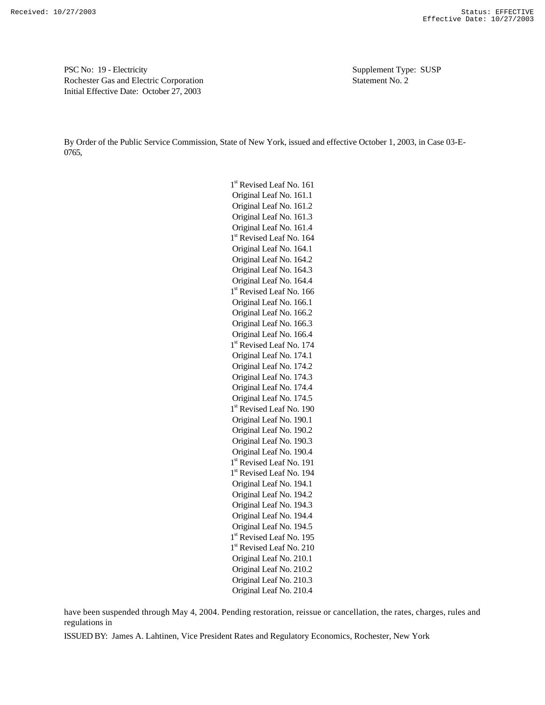PSC No: 19 - Electricity Supplement Type: SUSP Rochester Gas and Electric Corporation Statement No. 2 Initial Effective Date: October 27, 2003

By Order of the Public Service Commission, State of New York, issued and effective October 1, 2003, in Case 03-E-0765,

> 1<sup>st</sup> Revised Leaf No. 161 Original Leaf No. 161.1 Original Leaf No. 161.2 Original Leaf No. 161.3 Original Leaf No. 161.4 1<sup>st</sup> Revised Leaf No. 164 Original Leaf No. 164.1 Original Leaf No. 164.2 Original Leaf No. 164.3 Original Leaf No. 164.4 1<sup>st</sup> Revised Leaf No. 166 Original Leaf No. 166.1 Original Leaf No. 166.2 Original Leaf No. 166.3 Original Leaf No. 166.4 1<sup>st</sup> Revised Leaf No. 174 Original Leaf No. 174.1 Original Leaf No. 174.2 Original Leaf No. 174.3 Original Leaf No. 174.4 Original Leaf No. 174.5 1<sup>st</sup> Revised Leaf No. 190 Original Leaf No. 190.1 Original Leaf No. 190.2 Original Leaf No. 190.3 Original Leaf No. 190.4 1<sup>st</sup> Revised Leaf No. 191 1<sup>st</sup> Revised Leaf No. 194 Original Leaf No. 194.1 Original Leaf No. 194.2 Original Leaf No. 194.3 Original Leaf No. 194.4 Original Leaf No. 194.5 1<sup>st</sup> Revised Leaf No. 195 1<sup>st</sup> Revised Leaf No. 210 Original Leaf No. 210.1 Original Leaf No. 210.2 Original Leaf No. 210.3 Original Leaf No. 210.4

have been suspended through May 4, 2004. Pending restoration, reissue or cancellation, the rates, charges, rules and regulations in

ISSUED BY: James A. Lahtinen, Vice President Rates and Regulatory Economics, Rochester, New York